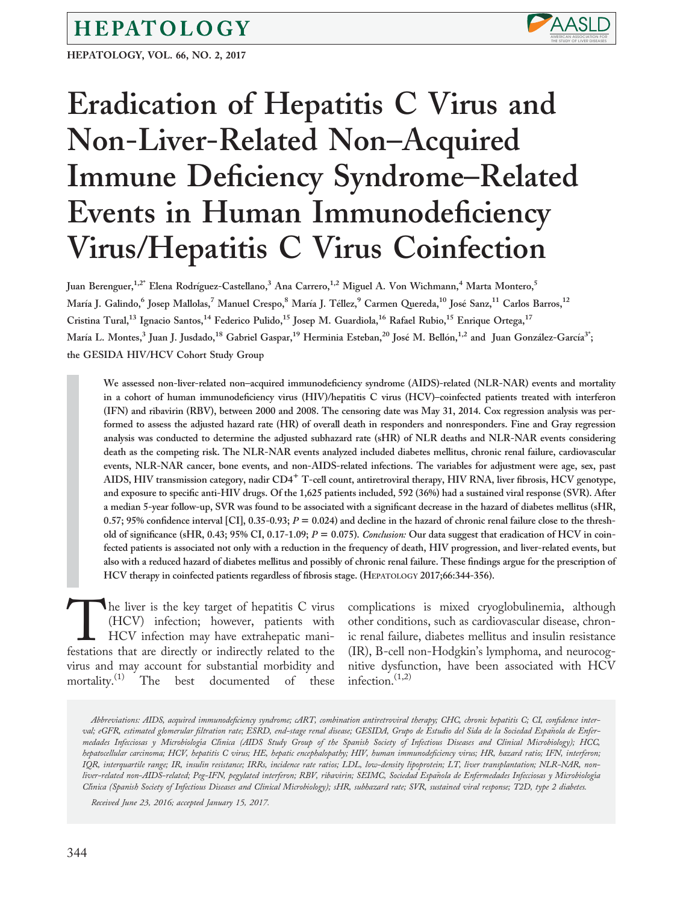# HEPATOLOGY

HEPATOLOGY, VOL. 66, NO. 2, 2017



# Eradication of Hepatitis C Virus and Non-Liver-Related Non–Acquired Immune Deficiency Syndrome–Related Events in Human Immunodeficiency Virus/Hepatitis C Virus Coinfection

Juan Berenguer,<sup>1,2</sup>\* Elena Rodríguez-Castellano,<sup>3</sup> Ana Carrero,<sup>1,2</sup> Miguel A. Von Wichmann,<sup>4</sup> Marta Montero,<sup>5</sup> María J. Galindo,<sup>6</sup> Josep Mallolas,<sup>7</sup> Manuel Crespo,<sup>8</sup> María J. Téllez,<sup>9</sup> Carmen Quereda,<sup>10</sup> José Sanz,<sup>11</sup> Carlos Barros,<sup>12</sup> Cristina Tural,<sup>13</sup> Ignacio Santos,<sup>14</sup> Federico Pulido,<sup>15</sup> Josep M. Guardiola,<sup>16</sup> Rafael Rubio,<sup>15</sup> Enrique Ortega,<sup>17</sup> María L. Montes,<sup>3</sup> Juan J. Jusdado,<sup>18</sup> Gabriel Gaspar,<sup>19</sup> Herminia Esteban,<sup>20</sup> José M. Bellón,<sup>1,2</sup> and Juan González-García<sup>3\*</sup>; the GESIDA HIV/HCV Cohort Study Group

We assessed non-liver-related non–acquired immunodeficiency syndrome (AIDS)-related (NLR-NAR) events and mortality in a cohort of human immunodeficiency virus (HIV)/hepatitis C virus (HCV)–coinfected patients treated with interferon (IFN) and ribavirin (RBV), between 2000 and 2008. The censoring date was May 31, 2014. Cox regression analysis was performed to assess the adjusted hazard rate (HR) of overall death in responders and nonresponders. Fine and Gray regression analysis was conducted to determine the adjusted subhazard rate (sHR) of NLR deaths and NLR-NAR events considering death as the competing risk. The NLR-NAR events analyzed included diabetes mellitus, chronic renal failure, cardiovascular events, NLR-NAR cancer, bone events, and non-AIDS-related infections. The variables for adjustment were age, sex, past AIDS, HIV transmission category, nadir  $CD4^+$  T-cell count, antiretroviral therapy, HIV RNA, liver fibrosis, HCV genotype, and exposure to specific anti-HIV drugs. Of the 1,625 patients included, 592 (36%) had a sustained viral response (SVR). After a median 5-year follow-up, SVR was found to be associated with a significant decrease in the hazard of diabetes mellitus (sHR, 0.57; 95% confidence interval [CI], 0.35-0.93;  $P = 0.024$ ) and decline in the hazard of chronic renal failure close to the threshold of significance (sHR, 0.43; 95% CI, 0.17-1.09;  $P = 0.075$ ). Conclusion: Our data suggest that eradication of HCV in coinfected patients is associated not only with a reduction in the frequency of death, HIV progression, and liver-related events, but also with a reduced hazard of diabetes mellitus and possibly of chronic renal failure. These findings argue for the prescription of HCV therapy in coinfected patients regardless of fibrosis stage. (HEPATOLOGY 2017;66:344-356).

The liver is the key target of hepatitis C virus (HCV) infection; however, patients with HCV infection may have extrahepatic manifestations that are directly or indirectly related to the (HCV) infection; however, patients with HCV infection may have extrahepatic manivirus and may account for substantial morbidity and mortality.<sup>(1)</sup> The best documented of these

complications is mixed cryoglobulinemia, although other conditions, such as cardiovascular disease, chronic renal failure, diabetes mellitus and insulin resistance (IR), B-cell non-Hodgkin's lymphoma, and neurocognitive dysfunction, have been associated with HCV infection. $(1,2)$ 

Abbreviations: AIDS, acquired immunodeficiency syndrome; cART, combination antiretroviral therapy; CHC, chronic hepatitis C; CI, confidence interval; eGFR, estimated glomerular filtration rate; ESRD, end-stage renal disease; GESIDA, Grupo de Estudio del Sida de la Sociedad Española de Enfermedades Infecciosas y Microbiología Clínica (AIDS Study Group of the Spanish Society of Infectious Diseases and Clinical Microbiology); HCC, hepatocellular carcinoma; HCV, hepatitis C virus; HE, hepatic encephalopathy; HIV, human immunodeficiency virus; HR, hazard ratio; IFN, interferon; IQR, interquartile range; IR, insulin resistance; IRRs, incidence rate ratios; LDL, low-density lipoprotein; LT, liver transplantation; NLR-NAR, nonliver-related non-AIDS-related; Peg-IFN, pegylated interferon; RBV, ribavirin; SEIMC, Sociedad Española de Enfermedades Infecciosas y Microbiología Clinica (Spanish Society of Infectious Diseases and Clinical Microbiology); sHR, subhazard rate; SVR, sustained viral response; T2D, type 2 diabetes.

Received June 23, 2016; accepted January 15, 2017.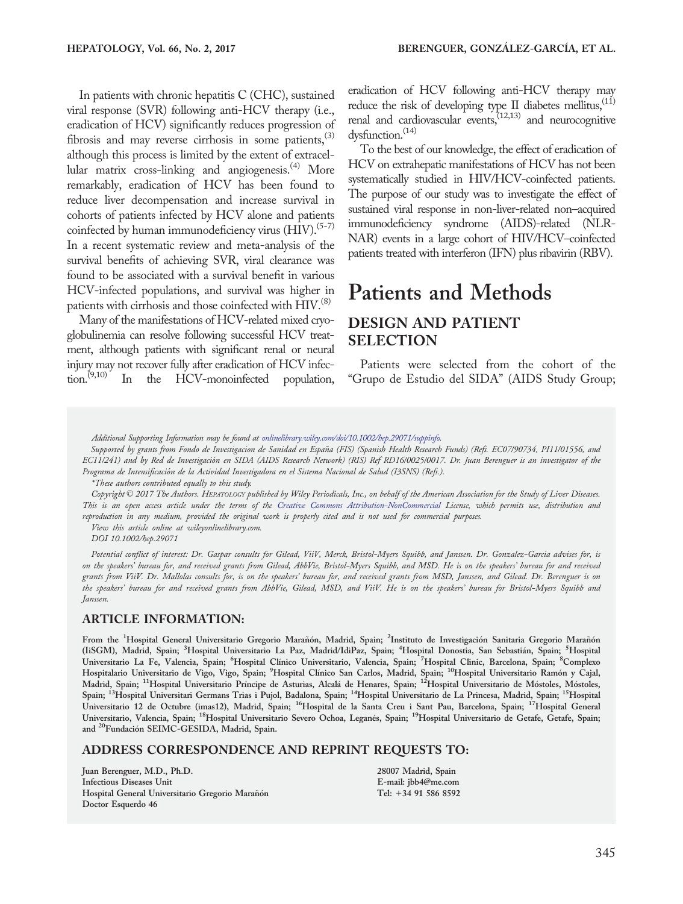In patients with chronic hepatitis C (CHC), sustained viral response (SVR) following anti-HCV therapy (i.e., eradication of HCV) significantly reduces progression of fibrosis and may reverse cirrhosis in some patients, $(3)$ although this process is limited by the extent of extracellular matrix cross-linking and angiogenesis. $(4)$  More remarkably, eradication of HCV has been found to reduce liver decompensation and increase survival in cohorts of patients infected by HCV alone and patients coinfected by human immunodeficiency virus  $(HIV).<sup>(5-7)</sup>$ In a recent systematic review and meta-analysis of the survival benefits of achieving SVR, viral clearance was found to be associated with a survival benefit in various HCV-infected populations, and survival was higher in patients with cirrhosis and those coinfected with HIV.<sup>(8)</sup>

Many of the manifestations of HCV-related mixed cryoglobulinemia can resolve following successful HCV treatment, although patients with significant renal or neural injury may not recover fully after eradication of HCV infection.<sup>(9,10)</sup> In the HCV-monoinfected population,

eradication of HCV following anti-HCV therapy may reduce the risk of developing type II diabetes mellitus,<sup>(11)</sup> renal and cardiovascular events, $(12,13)$  and neurocognitive dysfunction.<sup>(14)</sup>

To the best of our knowledge, the effect of eradication of HCV on extrahepatic manifestations of HCV has not been systematically studied in HIV/HCV-coinfected patients. The purpose of our study was to investigate the effect of sustained viral response in non-liver-related non–acquired immunodeficiency syndrome (AIDS)-related (NLR-NAR) events in a large cohort of HIV/HCV–coinfected patients treated with interferon (IFN) plus ribavirin (RBV).

# Patients and Methods

# DESIGN AND PATIENT SELECTION

Patients were selected from the cohort of the "Grupo de Estudio del SIDA" (AIDS Study Group;

Supported by grants from Fondo de Investigacion de Sanidad en Espana (FIS) (Spanish Health Research Funds) (Refs. EC07/90734, PI11/01556, and ~ EC11/241) and by Red de Investigacion en SIDA (AIDS Research Network) (RIS) Ref RD16/0025/0017. Dr. Juan Berenguer is an investigator of the - Programa de Intensificacion de la Actividad Investigadora en el Sistema Nacional de Salud (I3SNS) (Refs.). -

\*These authors contributed equally to this study.

Copyright © 2017 The Authors. HEPATOLOGY published by Wiley Periodicals, Inc., on behalf of the American Association for the Study of Liver Diseases. This is an open access article under the terms of the [Creative Commons Attribution-NonCommercial](http://creativecommons.org/licenses/by-nc/4.0/) License, which permits use, distribution and reproduction in any medium, provided the original work is properly cited and is not used for commercial purposes.

View this article online at wileyonlinelibrary.com.

DOI 10.1002/hep.29071

Potential conflict of interest: Dr. Gaspar consults for Gilead, ViiV, Merck, Bristol-Myers Squibb, and Janssen. Dr. Gonzalez-Garcia advises for, is on the speakers' bureau for, and received grants from Gilead, AbbVie, Bristol-Myers Squibb, and MSD. He is on the speakers' bureau for and received grants from ViiV. Dr. Mallolas consults for, is on the speakers' bureau for, and received grants from MSD, Janssen, and Gilead. Dr. Berenguer is on the speakers' bureau for and received grants from AbbVie, Gilead, MSD, and ViiV. He is on the speakers' bureau for Bristol-Myers Squibb and Janssen.

#### ARTICLE INFORMATION:

From the <sup>1</sup>Hospital General Universitario Gregorio Marañón, Madrid, Spain; <sup>2</sup>Instituto de Investigación Sanitaria Gregorio Marañón (IiSGM), Madrid, Spain; <sup>3</sup>Hospital Universitario La Paz, Madrid/IdiPaz, Spain; <sup>4</sup>Hospital Donostia, San Sebastián, Spain; <sup>5</sup>Hospital Universitario La Fe, Valencia, Spain; <sup>6</sup>Hospital Clínico Universitario, Valencia, Spain; <sup>7</sup>Hospital Clinic, Barcelona, Spain; <sup>8</sup>Complexo Hospitalario Universitario de Vigo, Vigo, Spain; <sup>9</sup>Hospital Clínico San Carlos, Madrid, Spain; <sup>10</sup>Hospital Universitario Ramón y Cajal,<br>Madrid, Spain; <sup>11</sup>Hospital Universitario Príncipe de Asturias, Alcalá de Henares, S Spain; 13Hospital Universitari Germans Trias i Pujol, Badalona, Spain; 14Hospital Universitario de La Princesa, Madrid, Spain; 15Hospital Universitario 12 de Octubre (imas12), Madrid, Spain; 16Hospital de la Santa Creu i Sant Pau, Barcelona, Spain; 17Hospital General Universitario, Valencia, Spain; <sup>18</sup>Hospital Universitario Severo Ochoa, Leganés, Spain; <sup>19</sup>Hospital Universitario de Getafe, Getafe, Spain; and <sup>20</sup>Fundación SEIMC-GESIDA, Madrid, Spain.

#### ADDRESS CORRESPONDENCE AND REPRINT REQUESTS TO:

Juan Berenguer, M.D., Ph.D. Infectious Diseases Unit Hospital General Universitario Gregorio Marañón Doctor Esquerdo 46

28007 Madrid, Spain E-mail: jbb4@me.com Tel: 134 91 586 8592

Additional Supporting Information may be found at [onlinelibrary.wiley.com/doi/10.1002/hep.29071/suppinfo](http://onlinelibrary.wiley.com/doi/10.1002/hep.29071/suppinfo).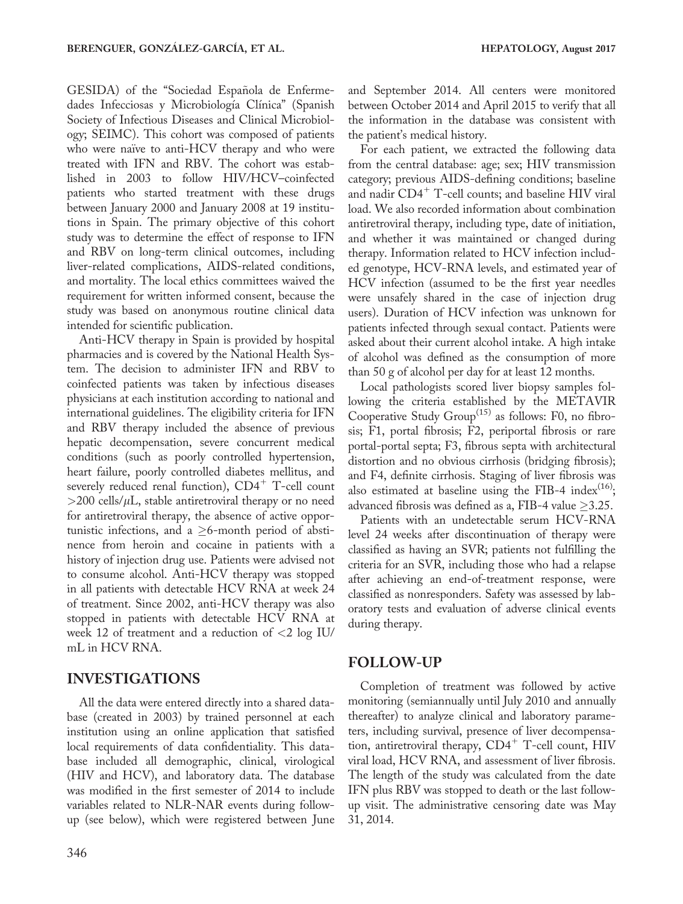GESIDA) of the "Sociedad Española de Enfermedades Infecciosas y Microbiología Clínica" (Spanish Society of Infectious Diseases and Clinical Microbiology; SEIMC). This cohort was composed of patients who were naïve to anti-HCV therapy and who were treated with IFN and RBV. The cohort was established in 2003 to follow HIV/HCV–coinfected patients who started treatment with these drugs between January 2000 and January 2008 at 19 institutions in Spain. The primary objective of this cohort study was to determine the effect of response to IFN and RBV on long-term clinical outcomes, including liver-related complications, AIDS-related conditions, and mortality. The local ethics committees waived the requirement for written informed consent, because the study was based on anonymous routine clinical data intended for scientific publication.

Anti-HCV therapy in Spain is provided by hospital pharmacies and is covered by the National Health System. The decision to administer IFN and RBV to coinfected patients was taken by infectious diseases physicians at each institution according to national and international guidelines. The eligibility criteria for IFN and RBV therapy included the absence of previous hepatic decompensation, severe concurrent medical conditions (such as poorly controlled hypertension, heart failure, poorly controlled diabetes mellitus, and severely reduced renal function),  $CD4^+$  T-cell count  $>$ 200 cells/ $\mu$ L, stable antiretroviral therapy or no need for antiretroviral therapy, the absence of active opportunistic infections, and a  $\geq$ 6-month period of abstinence from heroin and cocaine in patients with a history of injection drug use. Patients were advised not to consume alcohol. Anti-HCV therapy was stopped in all patients with detectable HCV RNA at week 24 of treatment. Since 2002, anti-HCV therapy was also stopped in patients with detectable HCV RNA at week 12 of treatment and a reduction of <2 log IU/ mL in HCV RNA.

### INVESTIGATIONS

All the data were entered directly into a shared database (created in 2003) by trained personnel at each institution using an online application that satisfied local requirements of data confidentiality. This database included all demographic, clinical, virological (HIV and HCV), and laboratory data. The database was modified in the first semester of 2014 to include variables related to NLR-NAR events during followup (see below), which were registered between June

and September 2014. All centers were monitored between October 2014 and April 2015 to verify that all the information in the database was consistent with the patient's medical history.

For each patient, we extracted the following data from the central database: age; sex; HIV transmission category; previous AIDS-defining conditions; baseline and nadir  $CD4^+$  T-cell counts; and baseline HIV viral load. We also recorded information about combination antiretroviral therapy, including type, date of initiation, and whether it was maintained or changed during therapy. Information related to HCV infection included genotype, HCV-RNA levels, and estimated year of HCV infection (assumed to be the first year needles were unsafely shared in the case of injection drug users). Duration of HCV infection was unknown for patients infected through sexual contact. Patients were asked about their current alcohol intake. A high intake of alcohol was defined as the consumption of more than 50 g of alcohol per day for at least 12 months.

Local pathologists scored liver biopsy samples following the criteria established by the METAVIR Cooperative Study  $Group^{(15)}$  as follows: F0, no fibrosis; F1, portal fibrosis; F2, periportal fibrosis or rare portal-portal septa; F3, fibrous septa with architectural distortion and no obvious cirrhosis (bridging fibrosis); and F4, definite cirrhosis. Staging of liver fibrosis was also estimated at baseline using the FIB-4 index<sup>(16)</sup>; advanced fibrosis was defined as a, FIB-4 value  $\geq$ 3.25.

Patients with an undetectable serum HCV-RNA level 24 weeks after discontinuation of therapy were classified as having an SVR; patients not fulfilling the criteria for an SVR, including those who had a relapse after achieving an end-of-treatment response, were classified as nonresponders. Safety was assessed by laboratory tests and evaluation of adverse clinical events during therapy.

### FOLLOW-UP

Completion of treatment was followed by active monitoring (semiannually until July 2010 and annually thereafter) to analyze clinical and laboratory parameters, including survival, presence of liver decompensation, antiretroviral therapy,  $CD4^+$  T-cell count, HIV viral load, HCV RNA, and assessment of liver fibrosis. The length of the study was calculated from the date IFN plus RBV was stopped to death or the last followup visit. The administrative censoring date was May 31, 2014.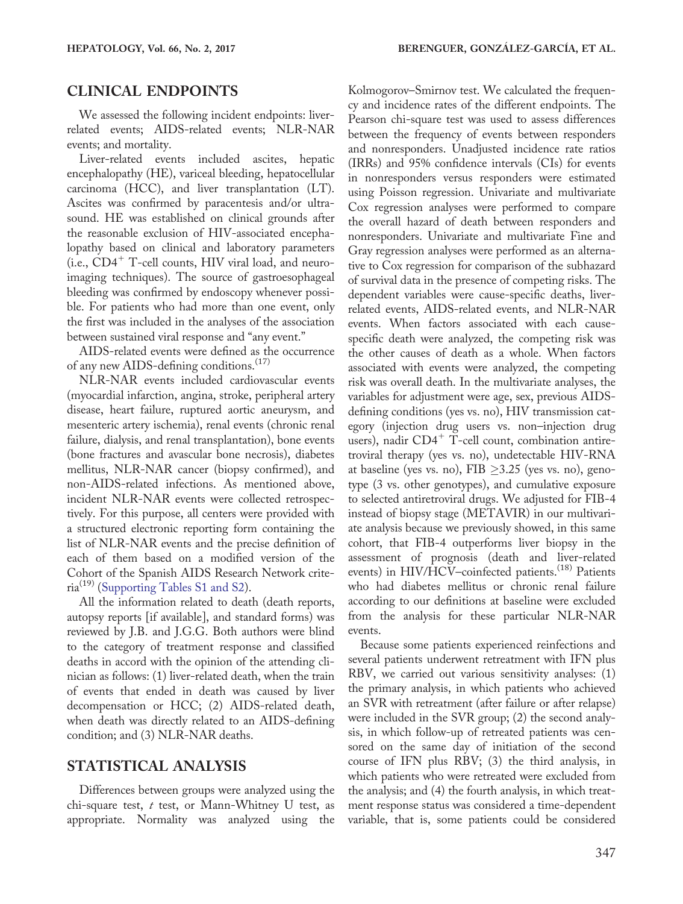## CLINICAL ENDPOINTS

We assessed the following incident endpoints: liverrelated events; AIDS-related events; NLR-NAR events; and mortality.

Liver-related events included ascites, hepatic encephalopathy (HE), variceal bleeding, hepatocellular carcinoma (HCC), and liver transplantation (LT). Ascites was confirmed by paracentesis and/or ultrasound. HE was established on clinical grounds after the reasonable exclusion of HIV-associated encephalopathy based on clinical and laboratory parameters  $(i.e., CD4<sup>+</sup> T-cell counts, HIV viral load, and neuro$ imaging techniques). The source of gastroesophageal bleeding was confirmed by endoscopy whenever possible. For patients who had more than one event, only the first was included in the analyses of the association between sustained viral response and "any event."

AIDS-related events were defined as the occurrence of any new AIDS-defining conditions.(17)

NLR-NAR events included cardiovascular events (myocardial infarction, angina, stroke, peripheral artery disease, heart failure, ruptured aortic aneurysm, and mesenteric artery ischemia), renal events (chronic renal failure, dialysis, and renal transplantation), bone events (bone fractures and avascular bone necrosis), diabetes mellitus, NLR-NAR cancer (biopsy confirmed), and non-AIDS-related infections. As mentioned above, incident NLR-NAR events were collected retrospectively. For this purpose, all centers were provided with a structured electronic reporting form containing the list of NLR-NAR events and the precise definition of each of them based on a modified version of the Cohort of the Spanish AIDS Research Network criteria(19) ([Supporting Tables S1 and S2](http://onlinelibrary.wiley.com/doi/10.1002/hep.29071/suppinfo)).

All the information related to death (death reports, autopsy reports [if available], and standard forms) was reviewed by J.B. and J.G.G. Both authors were blind to the category of treatment response and classified deaths in accord with the opinion of the attending clinician as follows: (1) liver-related death, when the train of events that ended in death was caused by liver decompensation or HCC; (2) AIDS-related death, when death was directly related to an AIDS-defining condition; and (3) NLR-NAR deaths.

### STATISTICAL ANALYSIS

Differences between groups were analyzed using the chi-square test,  $t$  test, or Mann-Whitney U test, as appropriate. Normality was analyzed using the

Kolmogorov–Smirnov test. We calculated the frequency and incidence rates of the different endpoints. The Pearson chi-square test was used to assess differences between the frequency of events between responders and nonresponders. Unadjusted incidence rate ratios (IRRs) and 95% confidence intervals (CIs) for events in nonresponders versus responders were estimated using Poisson regression. Univariate and multivariate Cox regression analyses were performed to compare the overall hazard of death between responders and nonresponders. Univariate and multivariate Fine and Gray regression analyses were performed as an alternative to Cox regression for comparison of the subhazard of survival data in the presence of competing risks. The dependent variables were cause-specific deaths, liverrelated events, AIDS-related events, and NLR-NAR events. When factors associated with each causespecific death were analyzed, the competing risk was the other causes of death as a whole. When factors associated with events were analyzed, the competing risk was overall death. In the multivariate analyses, the variables for adjustment were age, sex, previous AIDSdefining conditions (yes vs. no), HIV transmission category (injection drug users vs. non–injection drug users), nadir  $CD4^+$  T-cell count, combination antiretroviral therapy (yes vs. no), undetectable HIV-RNA at baseline (yes vs. no), FIB  $\geq$ 3.25 (yes vs. no), genotype (3 vs. other genotypes), and cumulative exposure to selected antiretroviral drugs. We adjusted for FIB-4 instead of biopsy stage (METAVIR) in our multivariate analysis because we previously showed, in this same cohort, that FIB-4 outperforms liver biopsy in the assessment of prognosis (death and liver-related events) in HIV/HCV–coinfected patients.<sup>(18)</sup> Patients who had diabetes mellitus or chronic renal failure according to our definitions at baseline were excluded from the analysis for these particular NLR-NAR events.

Because some patients experienced reinfections and several patients underwent retreatment with IFN plus RBV, we carried out various sensitivity analyses: (1) the primary analysis, in which patients who achieved an SVR with retreatment (after failure or after relapse) were included in the SVR group; (2) the second analysis, in which follow-up of retreated patients was censored on the same day of initiation of the second course of IFN plus RBV; (3) the third analysis, in which patients who were retreated were excluded from the analysis; and (4) the fourth analysis, in which treatment response status was considered a time-dependent variable, that is, some patients could be considered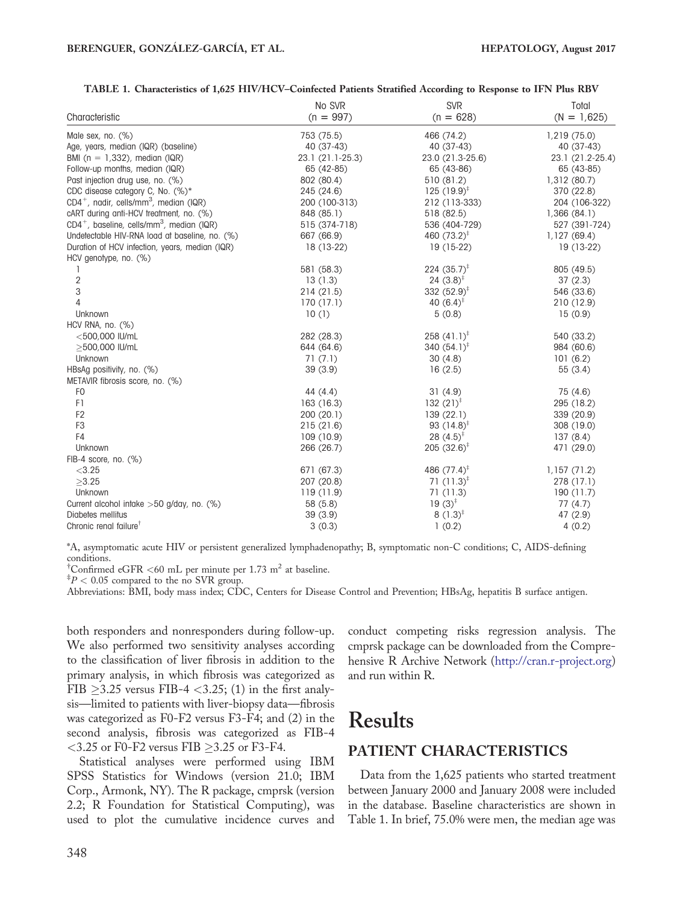|                                                                | No SVR           | <b>SVR</b>              | Total            |
|----------------------------------------------------------------|------------------|-------------------------|------------------|
| Characteristic                                                 | $(n = 997)$      | $(n = 628)$             | $(N = 1,625)$    |
| Male sex, no. $(\%)$                                           | 753 (75.5)       | 466 (74.2)              | 1,219 (75.0)     |
| Age, years, median (IQR) (baseline)                            | 40 (37-43)       | 40 (37-43)              | 40 (37-43)       |
| BMI ( $n = 1,332$ ), median (IQR)                              | 23.1 (21.1-25.3) | 23.0 (21.3-25.6)        | 23.1 (21.2-25.4) |
| Follow-up months, median (IQR)                                 | 65 (42-85)       | 65 (43-86)              | 65 (43-85)       |
| Past injection drug use, no. (%)                               | 802 (80.4)       | 510 (81.2)              | 1,312 (80.7)     |
| CDC disease category C, No. (%)*                               | 245 (24.6)       | 125 $(19.9)^{\ddagger}$ | 370 (22.8)       |
| CD4 <sup>+</sup> , nadir, cells/mm <sup>3</sup> , median (IQR) | 200 (100-313)    | 212 (113-333)           | 204 (106-322)    |
| cART during anti-HCV treatment, no. (%)                        | 848 (85.1)       | 518 (82.5)              | 1,366(84.1)      |
| $CD4^+$ , baseline, cells/mm <sup>3</sup> , median (IQR)       | 515 (374-718)    | 536 (404-729)           | 527 (391-724)    |
| Undefectable HIV-RNA load at baseline, no. (%)                 | 667 (66.9)       | 460 $(73.2)^{\ddagger}$ | 1,127(69.4)      |
| Duration of HCV infection, years, median (IQR)                 | 18 (13-22)       | 19 (15-22)              | 19 (13-22)       |
| HCV genotype, no. (%)                                          |                  |                         |                  |
|                                                                | 581 (58.3)       | 224 $(35.7)^{\ddagger}$ | 805 (49.5)       |
| $\overline{c}$                                                 | 13(1.3)          | 24 $(3.8)^{\ddagger}$   | 37(2.3)          |
| 3                                                              | 214(21.5)        | 332 $(52.9)^{\ddagger}$ | 546 (33.6)       |
| 4                                                              | 170 (17.1)       | 40 $(6.4)^{\ddagger}$   | 210 (12.9)       |
| Unknown                                                        | 10(1)            | 5(0.8)                  | 15(0.9)          |
| HCV RNA, no. (%)                                               |                  |                         |                  |
| $<$ 500,000 IU/mL                                              | 282 (28.3)       | 258 $(41.1)^{\ddagger}$ | 540 (33.2)       |
| >500,000 IU/mL                                                 | 644 (64.6)       | 340 $(54.1)^{\ddagger}$ | 984 (60.6)       |
| Unknown                                                        | 71(7.1)          | 30(4.8)                 | 101(6.2)         |
| HBsAg positivity, no. (%)                                      | 39(3.9)          | 16(2.5)                 | 55(3.4)          |
| METAVIR fibrosis score, no. (%)                                |                  |                         |                  |
| F <sub>0</sub>                                                 | 44(4.4)          | 31(4.9)                 | 75 (4.6)         |
| F1                                                             | 163 (16.3)       | 132 $(21)^{\ddagger}$   | 295 (18.2)       |
| F <sub>2</sub>                                                 | 200 (20.1)       | 139(22.1)               | 339 (20.9)       |
| F <sub>3</sub>                                                 | 215(21.6)        | 93 $(14.8)^{\ddagger}$  | 308 (19.0)       |
| F4                                                             | 109 (10.9)       | 28 $(4.5)^{\ddagger}$   | 137(8.4)         |
| Unknown                                                        | 266 (26.7)       | 205 $(32.6)^{\ddagger}$ | 471 (29.0)       |
| FIB-4 score, no. (%)                                           |                  |                         |                  |
| < 3.25                                                         | 671 (67.3)       | 486 $(77.4)^{\ddagger}$ | 1,157(71.2)      |
| $\geq 3.25$                                                    | 207 (20.8)       | 71 $(11.3)^{\ddagger}$  | 278 (17.1)       |
| Unknown                                                        | 119 (11.9)       | 71(11.3)                | 190(11.7)        |
| Current alcohol intake >50 g/day, no. (%)                      | 58(5.8)          | 19 $(3)^{\ddagger}$     | 77(4.7)          |
| Diabetes mellitus                                              | 39(3.9)          | 8 $(1.3)^{\ddagger}$    | 47 (2.9)         |
| Chronic renal failure <sup>1</sup>                             | 3(0.3)           | 1(0.2)                  | 4(0.2)           |

#### TABLE 1. Characteristics of 1,625 HIV/HCV–Coinfected Patients Stratified According to Response to IFN Plus RBV

\*A, asymptomatic acute HIV or persistent generalized lymphadenopathy; B, symptomatic non-C conditions; C, AIDS-defining conditions.

<sup>†</sup>Confirmed eGFR <60 mL per minute per 1.73 m<sup>2</sup> at baseline.

 $^{\ddagger}P < 0.05$  compared to the no SVR group.

Abbreviations: BMI, body mass index; CDC, Centers for Disease Control and Prevention; HBsAg, hepatitis B surface antigen.

both responders and nonresponders during follow-up. We also performed two sensitivity analyses according to the classification of liver fibrosis in addition to the primary analysis, in which fibrosis was categorized as FIB  $\geq$ 3.25 versus FIB-4 <3.25; (1) in the first analysis—limited to patients with liver-biopsy data—fibrosis was categorized as F0-F2 versus F3-F4; and (2) in the second analysis, fibrosis was categorized as FIB-4  $<$ 3.25 or F0-F2 versus FIB  $\geq$ 3.25 or F3-F4.

Statistical analyses were performed using IBM SPSS Statistics for Windows (version 21.0; IBM Corp., Armonk, NY). The R package, cmprsk (version 2.2; R Foundation for Statistical Computing), was used to plot the cumulative incidence curves and conduct competing risks regression analysis. The cmprsk package can be downloaded from the Comprehensive R Archive Network ([http://cran.r-project.org](http://cran.r-project.org/)) and run within R.

# Results

# PATIENT CHARACTERISTICS

Data from the 1,625 patients who started treatment between January 2000 and January 2008 were included in the database. Baseline characteristics are shown in Table 1. In brief, 75.0% were men, the median age was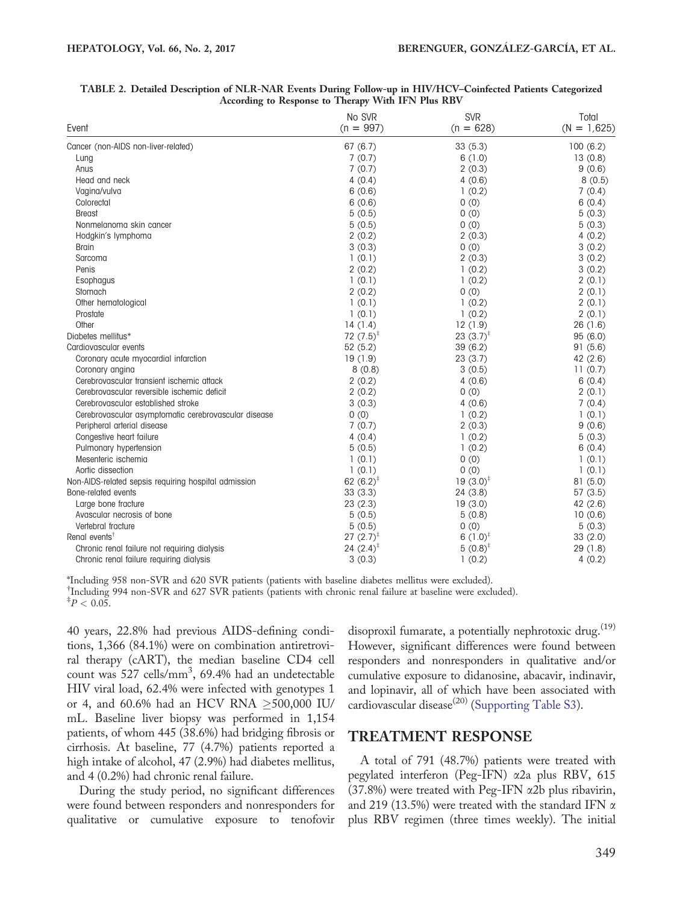| Event                                                | No SVR<br>$(n = 997)$ | <b>SVR</b><br>$(n = 628)$ | Total<br>$(N = 1,625)$ |
|------------------------------------------------------|-----------------------|---------------------------|------------------------|
| Cancer (non-AIDS non-liver-related)                  | 67(6.7)               | 33(5.3)                   | 100(6.2)               |
| Lung                                                 | 7(0.7)                | 6(1.0)                    | 13(0.8)                |
| Anus                                                 | 7(0.7)                | 2(0.3)                    | 9(0.6)                 |
| Head and neck                                        | 4(0.4)                | 4(0.6)                    | 8(0.5)                 |
| Vagina/vulva                                         | 6(0.6)                | 1(0.2)                    | 7(0.4)                 |
| Colorectal                                           | 6(0.6)                | 0(0)                      | 6(0.4)                 |
| <b>Breast</b>                                        | 5(0.5)                | 0(0)                      | 5(0.3)                 |
| Nonmelanoma skin cancer                              | 5(0.5)                | 0(0)                      | 5(0.3)                 |
| Hodgkin's lymphoma                                   | 2(0.2)                | 2(0.3)                    | 4(0.2)                 |
| <b>Brain</b>                                         | 3(0.3)                | 0(0)                      | 3(0.2)                 |
| Sarcoma                                              | 1(0.1)                | 2(0.3)                    | 3(0.2)                 |
| Penis                                                | 2(0.2)                | 1(0.2)                    | 3(0.2)                 |
| Esophagus                                            | 1(0.1)                | 1(0.2)                    | 2(0.1)                 |
| Stomach                                              | 2(0.2)                | 0(0)                      | 2(0.1)                 |
| Other hematological                                  | 1(0.1)                | 1(0.2)                    | 2(0.1)                 |
| Prostate                                             | 1(0.1)                | 1(0.2)                    | 2(0.1)                 |
| Other                                                | 14(1.4)               | 12(1.9)                   | 26(1.6)                |
| Diabetes mellitus*                                   | 72 $(7.5)^*$          | 23 $(3.7)^{\ddagger}$     | 95(6.0)                |
| Cardiovascular events                                | 52(5.2)               | 39(6.2)                   | 91(5.6)                |
| Coronary acute myocardial infarction                 | 19(1.9)               | 23(3.7)                   | 42(2.6)                |
| Coronary angina                                      | 8(0.8)                | 3(0.5)                    | 11(0.7)                |
| Cerebrovascular transient ischemic attack            | 2(0.2)                | 4(0.6)                    | 6(0.4)                 |
| Cerebrovascular reversible ischemic deficit          | 2(0.2)                | 0(0)                      | 2(0.1)                 |
| Cerebrovascular established stroke                   | 3(0.3)                | 4(0.6)                    | 7(0.4)                 |
| Cerebrovascular asymptomatic cerebrovascular disease | 0(0)                  | 1(0.2)                    | 1(0.1)                 |
| Peripheral arterial disease                          | 7(0.7)                | 2(0.3)                    | 9(0.6)                 |
| Congestive heart failure                             | 4(0.4)                | 1(0.2)                    | 5(0.3)                 |
| Pulmonary hypertension                               | 5(0.5)                | 1(0.2)                    | 6(0.4)                 |
| Mesenteric ischemig                                  | 1(0.1)                | 0(0)                      | 1(0.1)                 |
| Aortic dissection                                    | 1(0.1)                | 0(0)                      | 1(0.1)                 |
| Non-AIDS-related sepsis requiring hospital admission | 62 $(6.2)^*$          | $19(3.0)^{\ddagger}$      | 81(5.0)                |
| Bone-related events                                  | 33(3.3)               | 24 (3.8)                  | 57(3.5)                |
| Large bone fracture                                  | 23(2.3)               | 19(3.0)                   | 42 (2.6)               |
| Avascular necrosis of bone                           | 5(0.5)                | 5(0.8)                    | 10(0.6)                |
| Vertebral fracture                                   | 5(0.5)                | 0(0)                      | 5(0.3)                 |
| Renal events <sup>†</sup>                            | $27(2.7)^*$           | 6 $(1.0)^{\ddagger}$      | 33(2.0)                |
| Chronic renal failure not requiring dialysis         | 24 $(2.4)^{\ddagger}$ | $5(0.8)^{\ddagger}$       | 29(1.8)                |
| Chronic renal failure requiring dialysis             | 3(0.3)                | 1(0.2)                    | 4(0.2)                 |

#### TABLE 2. Detailed Description of NLR-NAR Events During Follow-up in HIV/HCV–Coinfected Patients Categorized According to Response to Therapy With IFN Plus RBV

\*Including 958 non-SVR and 620 SVR patients (patients with baseline diabetes mellitus were excluded). † Including 994 non-SVR and 627 SVR patients (patients with chronic renal failure at baseline were excluded).  $^{\ddagger}P < 0.05$ .

40 years, 22.8% had previous AIDS-defining conditions, 1,366 (84.1%) were on combination antiretroviral therapy (cART), the median baseline CD4 cell count was 527 cells/mm<sup>3</sup>, 69.4% had an undetectable HIV viral load, 62.4% were infected with genotypes 1 or 4, and 60.6% had an HCV RNA  $\geq$ 500,000 IU/ mL. Baseline liver biopsy was performed in 1,154 patients, of whom 445 (38.6%) had bridging fibrosis or cirrhosis. At baseline, 77 (4.7%) patients reported a high intake of alcohol, 47 (2.9%) had diabetes mellitus, and 4 (0.2%) had chronic renal failure.

During the study period, no significant differences were found between responders and nonresponders for qualitative or cumulative exposure to tenofovir disoproxil fumarate, a potentially nephrotoxic drug.  $(19)$ However, significant differences were found between responders and nonresponders in qualitative and/or cumulative exposure to didanosine, abacavir, indinavir, and lopinavir, all of which have been associated with cardiovascular disease<sup>(20)</sup> ([Supporting Table S3\)](http://onlinelibrary.wiley.com/doi/10.1002/hep.29071/suppinfo).

### TREATMENT RESPONSE

A total of 791 (48.7%) patients were treated with pegylated interferon (Peg-IFN) a2a plus RBV, 615 (37.8%) were treated with Peg-IFN a2b plus ribavirin, and 219 (13.5%) were treated with the standard IFN  $\alpha$ plus RBV regimen (three times weekly). The initial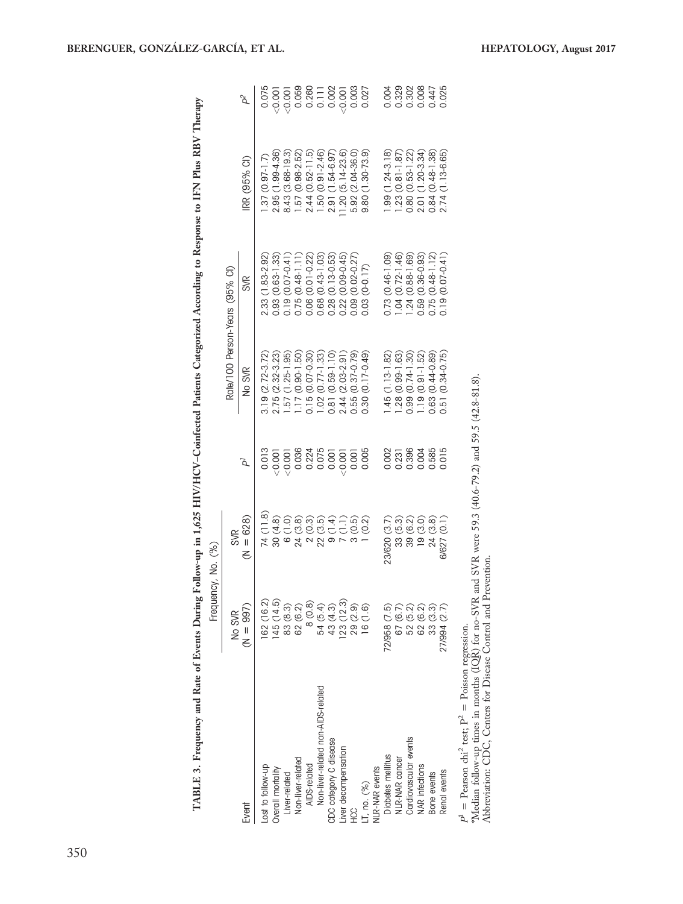|                                                                    | Frequency, No.                                              |                                                                                                                                                                                                                                                                |                       |                     |                                                                         |                                                                         |                                                            |
|--------------------------------------------------------------------|-------------------------------------------------------------|----------------------------------------------------------------------------------------------------------------------------------------------------------------------------------------------------------------------------------------------------------------|-----------------------|---------------------|-------------------------------------------------------------------------|-------------------------------------------------------------------------|------------------------------------------------------------|
|                                                                    | No SVR                                                      | <b>SVR</b>                                                                                                                                                                                                                                                     |                       |                     | Rate/100 Person-Years (95% CI)                                          |                                                                         |                                                            |
| Event                                                              | $(N = 997)$                                                 | $(N = 628)$                                                                                                                                                                                                                                                    | á                     | No SVR              | <b>SVR</b>                                                              | RR (95% CI)                                                             |                                                            |
| Lost to follow-up                                                  | 162 (16.2)                                                  | 74 (11.8)                                                                                                                                                                                                                                                      | 0.013                 | $3.19(2.72 - 3.72)$ | $(1.83 - 2.92)$<br>2.33(                                                | $.37(0.97-1.7)$                                                         | 0.075                                                      |
| Overall mortality                                                  |                                                             | 30(4.8)                                                                                                                                                                                                                                                        | 10000                 | 2.75 (2.32-3.23)    | $0.93(0.63 - 1.33)$                                                     | 2.95 (1.99-4.36)                                                        |                                                            |
| Liver-related                                                      | $145(14.5)$<br>83 $(8.3)$                                   |                                                                                                                                                                                                                                                                |                       | $.57(1.25-1.95)$    | 0.19 (0.07-0.41                                                         | 8.43 (3.68-19.3)                                                        |                                                            |
| Non-liver-related                                                  | 62 (6.2)                                                    | $\begin{array}{c} 0.0000\\ 0.00000\\ 0.00000\\ 0.00000\\ 0.00000\\ 0.00000\\ 0.00000\\ 0.00000\\ 0.00000\\ 0.00000\\ 0.00000\\ 0.00000\\ 0.00000\\ 0.00000\\ 0.00000\\ 0.00000\\ 0.00000\\ 0.00000\\ 0.00000\\ 0.00000\\ 0.00000\\ 0.00000\\ 0.00000\\ 0.0000$ | $\frac{0.001}{0.036}$ | $.17(0.90 - 1.50)$  | $\begin{array}{c} 0.75 \ (0.48-1.11) \\ 0.06 \ (0.01-0.22) \end{array}$ | 1.57 (0.98-2.52)                                                        | $-0.001$<br>$-0.001$<br>$-0.0000$<br>$-0.0000$<br>$-0.002$ |
| AIDS-related                                                       | 8 (0.8)                                                     |                                                                                                                                                                                                                                                                | 0.224                 | $0.15(0.07 - 0.30)$ |                                                                         | $2.44(0.52-11.5)$                                                       |                                                            |
| Non-liver-related non-AIDS-related                                 |                                                             |                                                                                                                                                                                                                                                                |                       | $1.02(0.77 - 1.33)$ | $0.68$ $(0.43 - 1.03)$                                                  | $1.50(0.91 - 2.46)$                                                     |                                                            |
| CDC category C disease                                             | 54 (5.4)<br>43 (4.3)<br>123 (12.3)<br>129 (1.6)<br>16 (1.6) |                                                                                                                                                                                                                                                                | $0.075$<br>$0.001$    | 0.81 (0.59-1.10)    |                                                                         | 2.91 (1.54-6.97)                                                        |                                                            |
| Liver decompensation                                               |                                                             |                                                                                                                                                                                                                                                                | 1000                  | 2.44 (2.03-2.91)    | $0.28$ (0.13-0.53)<br>0.22 (0.09-0.45)                                  | $1.20(5.14-23.6)$                                                       | (0.001)                                                    |
| ЭЭH                                                                |                                                             |                                                                                                                                                                                                                                                                | 0.001                 | $0.55(0.37 - 0.79)$ | $0.09(0.02 - 0.27)$                                                     | $5.92(2.04 - 36.0)$                                                     | 0.003                                                      |
| LT, no. (%)                                                        |                                                             | $3(0.5)$<br>$1(0.2)$                                                                                                                                                                                                                                           | 0.005                 | $0.30(0.17 - 0.49)$ | $0.03(0-0.17)$                                                          | $(1.30 - 73.9)$<br>9.80(                                                | 0.027                                                      |
| <b>NLR-NAR</b> events                                              |                                                             |                                                                                                                                                                                                                                                                |                       |                     |                                                                         |                                                                         |                                                            |
| Diabetes mellitus                                                  | 72/958 (7.5)                                                | 23/620 (3.7)                                                                                                                                                                                                                                                   |                       | $.45(1.13-1.82)$    | 0.73 (0.46-1.09)                                                        | $.99(1.24-3.18)$                                                        | 0.004                                                      |
| NLR-NAR cancer                                                     | 67 (6.7)                                                    | 33(5.3)                                                                                                                                                                                                                                                        | 0.002<br>0.231        | $.28(0.99 - 1.63)$  | $1.04(0.72 - 1.46)$                                                     | $.23(0.81 - 1.87)$                                                      |                                                            |
| Cardiovascular events                                              |                                                             |                                                                                                                                                                                                                                                                | 0.396                 | $0.99(0.74-1.30)$   | $1.24(0.88-1.69)$                                                       |                                                                         | 0.329                                                      |
| <b>NAR</b> infections                                              | 52 (5.2)<br>62 (6.3)<br>33 (3.3)                            | 39 (6.2)<br>19 (3.0)                                                                                                                                                                                                                                           | 0.004                 | $.19(0.91 - 1.52)$  | 0.59 (0.36-0.93)                                                        | $\begin{array}{c} 0.80 \ (0.53-1.22) \\ 2.01 \ (1.20-3.34) \end{array}$ | 0.008                                                      |
| Bone events                                                        |                                                             | 24(3.8)                                                                                                                                                                                                                                                        | 0.585                 | 0.63 (0.44-0.89)    | $0.75(0.48 - 1.12)$                                                     | $0.84(0.48-1.38)$                                                       | 0.447                                                      |
| Renal events                                                       | 27/994 (2.7)                                                | 6/627 (0.1)                                                                                                                                                                                                                                                    | 0.015                 | 0.51 (0.34-0.75)    | $0.19(0.07 - 0.41)$                                                     | 2.74 (1.13-6.65)                                                        | 0.025                                                      |
| $P^1$ = Pearson chi <sup>2</sup> test; $P^2$ = Poisson regression. |                                                             |                                                                                                                                                                                                                                                                |                       |                     |                                                                         |                                                                         |                                                            |

TABLE 3. Frequency and Rate of Events During Follow-up in 1,625 HIV/HCV-Coinfected Patients Categorized According to Response to IFN Plus RBV Therapy TABLE 3. Frequency and Rate of Events During Follow-up in 1,625 HIV/HCV–Coinfected Patients Categorized According to Response to IFN Plus RBV Therapy Frequency No.  $(%)$ 

 $P^1$  = Pearson chi<sup>2</sup> test;  $P^2$  = Poisson regression.<br>\*Median follow-up times in months (IQR) for no-SVR and SVR were 59.3 (40.6-79.2) and 59.5 (42.8-81.8).<br>Abbreviation: CDC, Centers for Disease Control and Prevention \*Median follow-up times in months (IQR) for no-SVR and SVR were 59.3 (40.6-79.2) and 59.5 (42.8-81.8). Abbreviation: CDC, Centers for Disease Control and Prevention.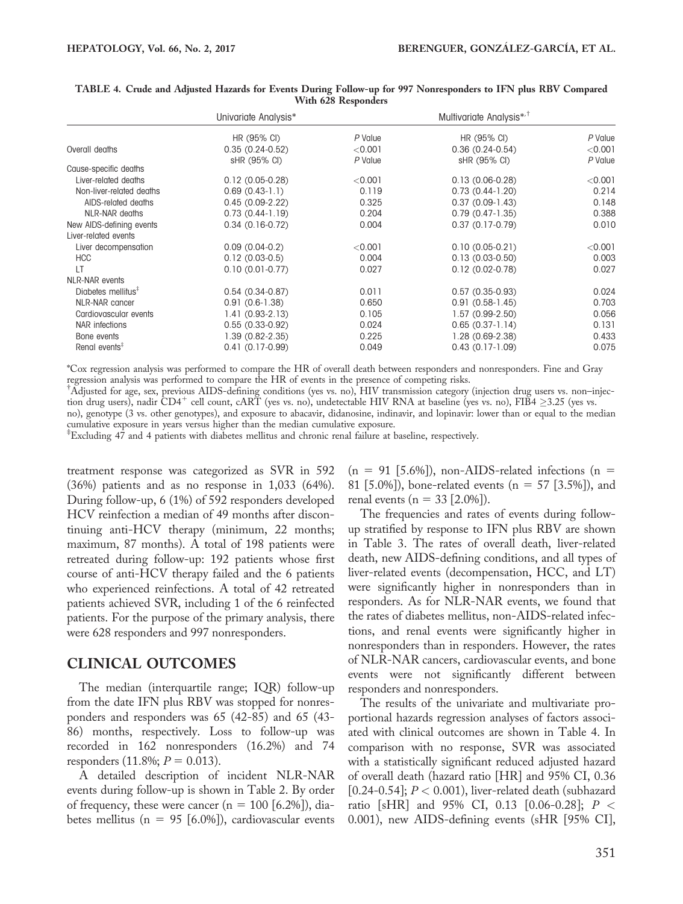|                                | Univariate Analysis* |         | Multivariate Analysis <sup>*/†</sup> |           |
|--------------------------------|----------------------|---------|--------------------------------------|-----------|
|                                | HR (95% CI)          | P Value | HR (95% CI)                          | P Value   |
| Overall deaths                 | $0.35(0.24-0.52)$    | < 0.001 | $0.36(0.24-0.54)$                    | < 0.001   |
|                                | sHR (95% CI)         | P Value | sHR (95% CI)                         | P Value   |
| Cause-specific deaths          |                      |         |                                      |           |
| Liver-related deaths           | $0.12(0.05-0.28)$    | < 0.001 | $0.13(0.06-0.28)$                    | $<$ 0.001 |
| Non-liver-related deaths       | $0.69(0.43-1.1)$     | 0.119   | $0.73(0.44-1.20)$                    | 0.214     |
| AIDS-related deaths            | $0.45(0.09-2.22)$    | 0.325   | $0.37(0.09-1.43)$                    | 0.148     |
| NLR-NAR deaths                 | $0.73(0.44-1.19)$    | 0.204   | $0.79(0.47-1.35)$                    | 0.388     |
| New AIDS-defining events       | $0.34(0.16-0.72)$    | 0.004   | $0.37(0.17-0.79)$                    | 0.010     |
| Liver-related events           |                      |         |                                      |           |
| Liver decompensation           | $0.09(0.04-0.2)$     | < 0.001 | $0.10(0.05-0.21)$                    | $<$ 0.001 |
| <b>HCC</b>                     | $0.12(0.03-0.5)$     | 0.004   | $0.13(0.03-0.50)$                    | 0.003     |
| LT                             | $0.10(0.01 - 0.77)$  | 0.027   | $0.12(0.02 - 0.78)$                  | 0.027     |
| NLR-NAR events                 |                      |         |                                      |           |
| Diabetes mellitus <sup>#</sup> | $0.54(0.34-0.87)$    | 0.011   | $0.57(0.35-0.93)$                    | 0.024     |
| NLR-NAR cancer                 | $0.91(0.6-1.38)$     | 0.650   | $0.91(0.58-1.45)$                    | 0.703     |
| Cardiovascular events          | $1.41(0.93-2.13)$    | 0.105   | $1.57(0.99-2.50)$                    | 0.056     |
| NAR infections                 | $0.55(0.33-0.92)$    | 0.024   | $0.65(0.37-1.14)$                    | 0.131     |
| Bone events                    | 1.39 (0.82-2.35)     | 0.225   | 1.28 (0.69-2.38)                     | 0.433     |
| Renal events <sup>#</sup>      | $0.41(0.17-0.99)$    | 0.049   | $0.43(0.17-1.09)$                    | 0.075     |

#### TABLE 4. Crude and Adjusted Hazards for Events During Follow-up for 997 Nonresponders to IFN plus RBV Compared With 628 Responders

\*Cox regression analysis was performed to compare the HR of overall death between responders and nonresponders. Fine and Gray regression analysis was performed to compare the HR of events in the presence of competing risks.

Adjusted for age, sex, previous AIDS-defining conditions (yes vs. no), HIV transmission category (injection drug users vs. non-injec-<br>tion drug users), nadir CD4<sup>+</sup> cell count, cART (yes vs. no), undetectable HIV RNA at ba

no), genotype (3 vs. other genotypes), and exposure to abacavir, didanosine, indinavir, and lopinavir: lower than or equal to the median cumulative exposure in years versus higher than the median cumulative exposure.

‡ Excluding 47 and 4 patients with diabetes mellitus and chronic renal failure at baseline, respectively.

treatment response was categorized as SVR in 592 (36%) patients and as no response in 1,033 (64%). During follow-up, 6 (1%) of 592 responders developed HCV reinfection a median of 49 months after discontinuing anti-HCV therapy (minimum, 22 months; maximum, 87 months). A total of 198 patients were retreated during follow-up: 192 patients whose first course of anti-HCV therapy failed and the 6 patients who experienced reinfections. A total of 42 retreated patients achieved SVR, including 1 of the 6 reinfected patients. For the purpose of the primary analysis, there were 628 responders and 997 nonresponders.

### CLINICAL OUTCOMES

The median (interquartile range; IQR) follow-up from the date IFN plus RBV was stopped for nonresponders and responders was 65 (42-85) and 65 (43- 86) months, respectively. Loss to follow-up was recorded in 162 nonresponders (16.2%) and 74 responders (11.8%;  $P = 0.013$ ).

A detailed description of incident NLR-NAR events during follow-up is shown in Table 2. By order of frequency, these were cancer ( $n = 100$  [6.2%]), diabetes mellitus (n = 95 [6.0%]), cardiovascular events

 $(n = 91 [5.6\%])$ , non-AIDS-related infections  $(n = 1)$ 81 [5.0%]), bone-related events ( $n = 57$  [3.5%]), and renal events ( $n = 33$  [2.0%]).

The frequencies and rates of events during followup stratified by response to IFN plus RBV are shown in Table 3. The rates of overall death, liver-related death, new AIDS-defining conditions, and all types of liver-related events (decompensation, HCC, and LT) were significantly higher in nonresponders than in responders. As for NLR-NAR events, we found that the rates of diabetes mellitus, non-AIDS-related infections, and renal events were significantly higher in nonresponders than in responders. However, the rates of NLR-NAR cancers, cardiovascular events, and bone events were not significantly different between responders and nonresponders.

The results of the univariate and multivariate proportional hazards regression analyses of factors associated with clinical outcomes are shown in Table 4. In comparison with no response, SVR was associated with a statistically significant reduced adjusted hazard of overall death (hazard ratio [HR] and 95% CI, 0.36 [0.24-0.54];  $P < 0.001$ ), liver-related death (subhazard ratio [sHR] and 95% CI, 0.13 [0.06-0.28];  $P <$ 0.001), new AIDS-defining events (sHR [95% CI],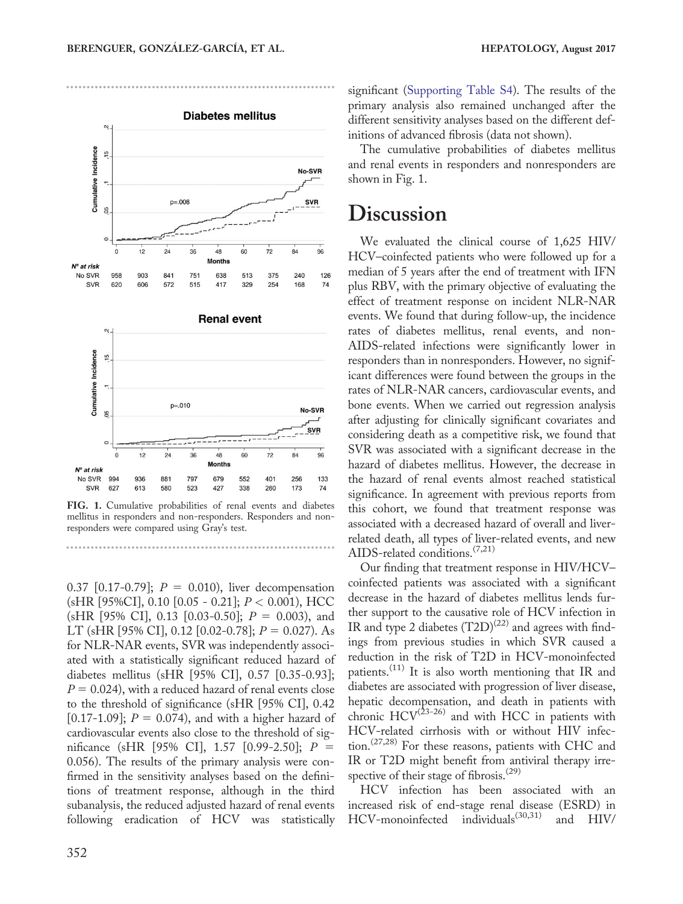

FIG. 1. Cumulative probabilities of renal events and diabetes mellitus in responders and non-responders. Responders and nonresponders were compared using Gray's test.

0.37 [0.17-0.79];  $P = 0.010$ ), liver decompensation (sHR [95%CI], 0.10 [0.05 - 0.21]; P < 0.001), HCC (sHR [95% CI], 0.13 [0.03-0.50];  $P = 0.003$ ), and LT (sHR [95% CI], 0.12 [0.02-0.78];  $P = 0.027$ ). As for NLR-NAR events, SVR was independently associated with a statistically significant reduced hazard of diabetes mellitus (sHR [95% CI], 0.57 [0.35-0.93];  $P = 0.024$ ), with a reduced hazard of renal events close to the threshold of significance (sHR [95% CI], 0.42 [0.17-1.09];  $P = 0.074$ ), and with a higher hazard of cardiovascular events also close to the threshold of significance (sHR [95% CI], 1.57 [0.99-2.50];  $P =$ 0.056). The results of the primary analysis were confirmed in the sensitivity analyses based on the definitions of treatment response, although in the third subanalysis, the reduced adjusted hazard of renal events following eradication of HCV was statistically significant [\(Supporting Table S4\)](http://onlinelibrary.wiley.com/doi/10.1002/hep.29071/suppinfo). The results of the primary analysis also remained unchanged after the different sensitivity analyses based on the different definitions of advanced fibrosis (data not shown).

The cumulative probabilities of diabetes mellitus and renal events in responders and nonresponders are shown in Fig. 1.

# **Discussion**

We evaluated the clinical course of 1,625 HIV/ HCV–coinfected patients who were followed up for a median of 5 years after the end of treatment with IFN plus RBV, with the primary objective of evaluating the effect of treatment response on incident NLR-NAR events. We found that during follow-up, the incidence rates of diabetes mellitus, renal events, and non-AIDS-related infections were significantly lower in responders than in nonresponders. However, no significant differences were found between the groups in the rates of NLR-NAR cancers, cardiovascular events, and bone events. When we carried out regression analysis after adjusting for clinically significant covariates and considering death as a competitive risk, we found that SVR was associated with a significant decrease in the hazard of diabetes mellitus. However, the decrease in the hazard of renal events almost reached statistical significance. In agreement with previous reports from this cohort, we found that treatment response was associated with a decreased hazard of overall and liverrelated death, all types of liver-related events, and new AIDS-related conditions.  $(7,21)$ 

Our finding that treatment response in HIV/HCV– coinfected patients was associated with a significant decrease in the hazard of diabetes mellitus lends further support to the causative role of HCV infection in IR and type 2 diabetes  $(T2D)^{(22)}$  and agrees with findings from previous studies in which SVR caused a reduction in the risk of T2D in HCV-monoinfected patients.<sup>(11)</sup> It is also worth mentioning that IR and diabetes are associated with progression of liver disease, hepatic decompensation, and death in patients with chronic  $HCV^{(23-26)}$  and with HCC in patients with HCV-related cirrhosis with or without HIV infection.(27,28) For these reasons, patients with CHC and IR or T2D might benefit from antiviral therapy irrespective of their stage of fibrosis.<sup>(29)</sup>

HCV infection has been associated with an increased risk of end-stage renal disease (ESRD) in HCV-monoinfected individuals<sup>(30,31)</sup> and HIV/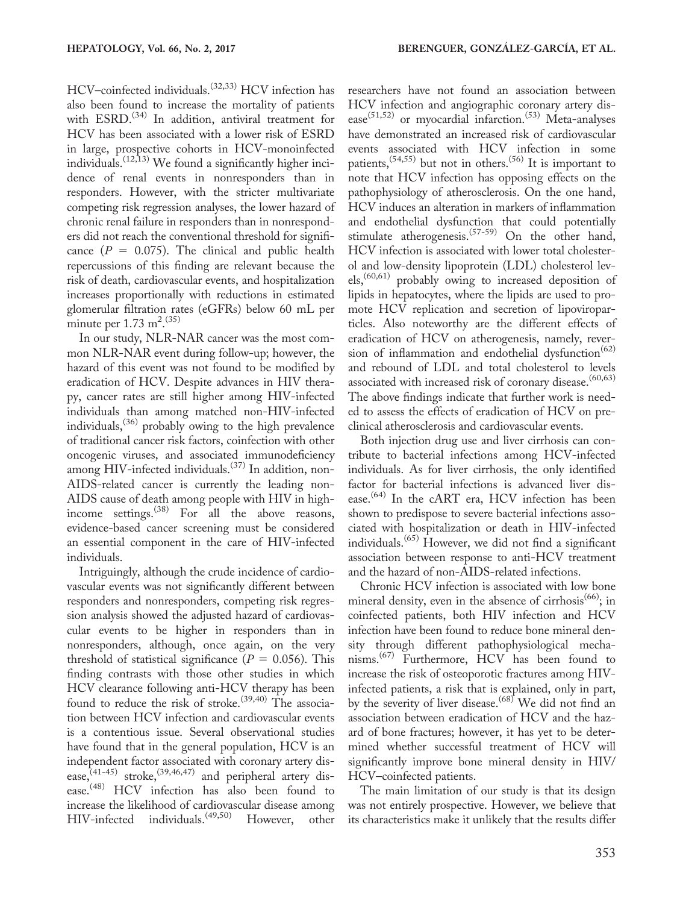HCV–coinfected individuals.(32,33) HCV infection has also been found to increase the mortality of patients with  $ESRD$ .<sup> $(34)$ </sup> In addition, antiviral treatment for HCV has been associated with a lower risk of ESRD in large, prospective cohorts in HCV-monoinfected individuals.<sup> $(12,13)$ </sup> We found a significantly higher incidence of renal events in nonresponders than in responders. However, with the stricter multivariate competing risk regression analyses, the lower hazard of chronic renal failure in responders than in nonresponders did not reach the conventional threshold for significance  $(P = 0.075)$ . The clinical and public health repercussions of this finding are relevant because the risk of death, cardiovascular events, and hospitalization increases proportionally with reductions in estimated glomerular filtration rates (eGFRs) below 60 mL per minute per  $1.73 \text{ m}^{2}$ .  $(35)$ 

In our study, NLR-NAR cancer was the most common NLR-NAR event during follow-up; however, the hazard of this event was not found to be modified by eradication of HCV. Despite advances in HIV therapy, cancer rates are still higher among HIV-infected individuals than among matched non-HIV-infected individuals,(36) probably owing to the high prevalence of traditional cancer risk factors, coinfection with other oncogenic viruses, and associated immunodeficiency among HIV-infected individuals.(37) In addition, non-AIDS-related cancer is currently the leading non-AIDS cause of death among people with HIV in highincome settings.<sup>(38)</sup> For all the above reasons, evidence-based cancer screening must be considered an essential component in the care of HIV-infected individuals.

Intriguingly, although the crude incidence of cardiovascular events was not significantly different between responders and nonresponders, competing risk regression analysis showed the adjusted hazard of cardiovascular events to be higher in responders than in nonresponders, although, once again, on the very threshold of statistical significance ( $P = 0.056$ ). This finding contrasts with those other studies in which HCV clearance following anti-HCV therapy has been found to reduce the risk of stroke.<sup>(39,40)</sup> The association between HCV infection and cardiovascular events is a contentious issue. Several observational studies have found that in the general population, HCV is an independent factor associated with coronary artery disease,<sup>(41-45)</sup> stroke,<sup>(39,46,47)</sup> and peripheral artery disease.<sup>(48)</sup> HCV infection has also been found to increase the likelihood of cardiovascular disease among HIV-infected individuals.(49,50) However, other

researchers have not found an association between HCV infection and angiographic coronary artery disease<sup>(51,52)</sup> or myocardial infarction.<sup>(53)</sup> Meta-analyses have demonstrated an increased risk of cardiovascular events associated with HCV infection in some patients,  $(54,55)$  but not in others.  $(56)$  It is important to note that HCV infection has opposing effects on the pathophysiology of atherosclerosis. On the one hand, HCV induces an alteration in markers of inflammation and endothelial dysfunction that could potentially stimulate atherogenesis.<sup>(57-59)</sup> On the other hand, HCV infection is associated with lower total cholesterol and low-density lipoprotein (LDL) cholesterol levels,(60,61) probably owing to increased deposition of lipids in hepatocytes, where the lipids are used to promote HCV replication and secretion of lipoviroparticles. Also noteworthy are the different effects of eradication of HCV on atherogenesis, namely, reversion of inflammation and endothelial dysfunction<sup>(62)</sup> and rebound of LDL and total cholesterol to levels associated with increased risk of coronary disease.<sup>(60,63)</sup> The above findings indicate that further work is needed to assess the effects of eradication of HCV on preclinical atherosclerosis and cardiovascular events.

Both injection drug use and liver cirrhosis can contribute to bacterial infections among HCV-infected individuals. As for liver cirrhosis, the only identified factor for bacterial infections is advanced liver disease.<sup>(64)</sup> In the cART era, HCV infection has been shown to predispose to severe bacterial infections associated with hospitalization or death in HIV-infected individuals.<sup> $(65)$ </sup> However, we did not find a significant association between response to anti-HCV treatment and the hazard of non-AIDS-related infections.

Chronic HCV infection is associated with low bone mineral density, even in the absence of cirrhosis<sup> $(66)$ </sup>; in coinfected patients, both HIV infection and HCV infection have been found to reduce bone mineral density through different pathophysiological mechanisms.<sup>(67)</sup> Furthermore, HCV has been found to increase the risk of osteoporotic fractures among HIVinfected patients, a risk that is explained, only in part, by the severity of liver disease.<sup>(68)</sup> We did not find an association between eradication of HCV and the hazard of bone fractures; however, it has yet to be determined whether successful treatment of HCV will significantly improve bone mineral density in HIV/ HCV–coinfected patients.

The main limitation of our study is that its design was not entirely prospective. However, we believe that its characteristics make it unlikely that the results differ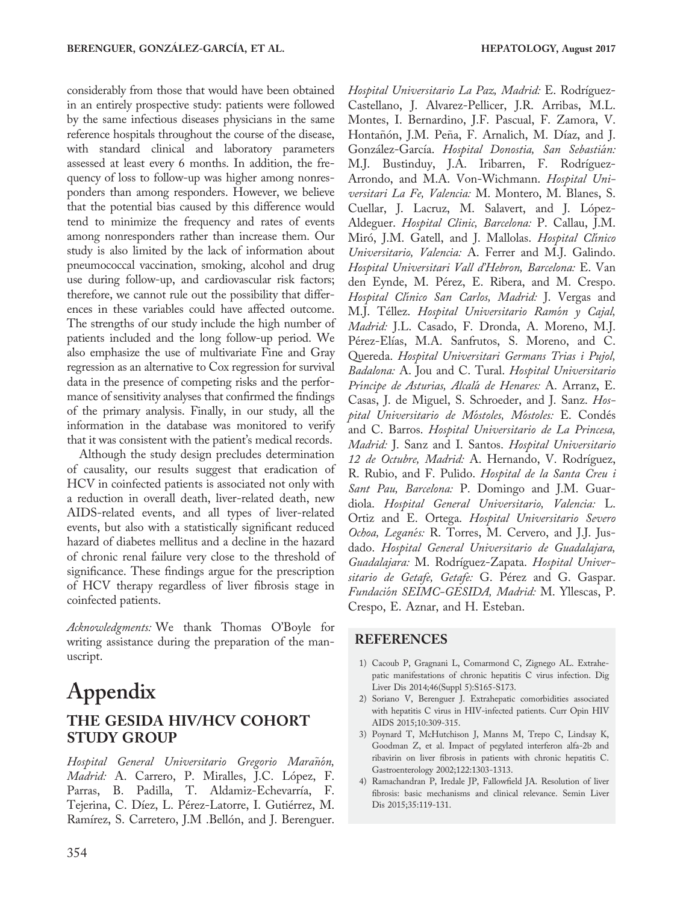considerably from those that would have been obtained in an entirely prospective study: patients were followed by the same infectious diseases physicians in the same reference hospitals throughout the course of the disease, with standard clinical and laboratory parameters assessed at least every 6 months. In addition, the frequency of loss to follow-up was higher among nonresponders than among responders. However, we believe that the potential bias caused by this difference would tend to minimize the frequency and rates of events among nonresponders rather than increase them. Our study is also limited by the lack of information about pneumococcal vaccination, smoking, alcohol and drug use during follow-up, and cardiovascular risk factors; therefore, we cannot rule out the possibility that differences in these variables could have affected outcome. The strengths of our study include the high number of patients included and the long follow-up period. We also emphasize the use of multivariate Fine and Gray regression as an alternative to Cox regression for survival data in the presence of competing risks and the performance of sensitivity analyses that confirmed the findings of the primary analysis. Finally, in our study, all the information in the database was monitored to verify that it was consistent with the patient's medical records.

Although the study design precludes determination of causality, our results suggest that eradication of HCV in coinfected patients is associated not only with a reduction in overall death, liver-related death, new AIDS-related events, and all types of liver-related events, but also with a statistically significant reduced hazard of diabetes mellitus and a decline in the hazard of chronic renal failure very close to the threshold of significance. These findings argue for the prescription of HCV therapy regardless of liver fibrosis stage in coinfected patients.

Acknowledgments: We thank Thomas O'Boyle for writing assistance during the preparation of the manuscript.

# Appendix THE GESIDA HIV/HCV COHORT STUDY GROUP

Hospital General Universitario Gregorio Marañón, Madrid: A. Carrero, P. Miralles, J.C. López, F. Parras, B. Padilla, T. Aldamiz-Echevarría, F. Tejerina, C. Díez, L. Pérez-Latorre, I. Gutiérrez, M. Ramírez, S. Carretero, J.M .Bellón, and J. Berenguer. Hospital Universitario La Paz, Madrid: E. Rodríguez-Castellano, J. Alvarez-Pellicer, J.R. Arribas, M.L. Montes, I. Bernardino, J.F. Pascual, F. Zamora, V. Hontañón, J.M. Peña, F. Arnalich, M. Díaz, and J. González-García. *Hospital Donostia, San Sebastián:* M.J. Bustinduy, J.A. Iribarren, F. Rodríguez-Arrondo, and M.A. Von-Wichmann. Hospital Universitari La Fe, Valencia: M. Montero, M. Blanes, S. Cuellar, J. Lacruz, M. Salavert, and J. López-Aldeguer. Hospital Clinic, Barcelona: P. Callau, J.M. Miró, J.M. Gatell, and J. Mallolas. *Hospital Clínico* Universitario, Valencia: A. Ferrer and M.J. Galindo. Hospital Universitari Vall d'Hebron, Barcelona: E. Van den Eynde, M. Pérez, E. Ribera, and M. Crespo. Hospital Clínico San Carlos, Madrid: J. Vergas and M.J. Téllez. *Hospital Universitario Ramón y Cajal*, Madrid: J.L. Casado, F. Dronda, A. Moreno, M.J. Pérez-Elías, M.A. Sanfrutos, S. Moreno, and C. Quereda. Hospital Universitari Germans Trias i Pujol, Badalona: A. Jou and C. Tural. Hospital Universitario Príncipe de Asturias, Alcalá de Henares: A. Arranz, E. Casas, J. de Miguel, S. Schroeder, and J. Sanz. Hospital Universitario de Móstoles, Móstoles: E. Condés and C. Barros. Hospital Universitario de La Princesa, Madrid: J. Sanz and I. Santos. Hospital Universitario 12 de Octubre, Madrid: A. Hernando, V. Rodríguez, R. Rubio, and F. Pulido. Hospital de la Santa Creu i Sant Pau, Barcelona: P. Domingo and J.M. Guardiola. Hospital General Universitario, Valencia: L. Ortiz and E. Ortega. Hospital Universitario Severo Ochoa, Leganés: R. Torres, M. Cervero, and J.J. Jusdado. Hospital General Universitario de Guadalajara, Guadalajara: M. Rodríguez-Zapata. Hospital Universitario de Getafe, Getafe: G. Pérez and G. Gaspar. Fundación SEIMC-GESIDA, Madrid: M. Yllescas, P. Crespo, E. Aznar, and H. Esteban.

#### REFERENCES

- 1) Cacoub P, Gragnani L, Comarmond C, Zignego AL. Extrahepatic manifestations of chronic hepatitis C virus infection. Dig Liver Dis 2014;46(Suppl 5):S165-S173.
- 2) Soriano V, Berenguer J. Extrahepatic comorbidities associated with hepatitis C virus in HIV-infected patients. Curr Opin HIV AIDS 2015;10:309-315.
- 3) Poynard T, McHutchison J, Manns M, Trepo C, Lindsay K, Goodman Z, et al. Impact of pegylated interferon alfa-2b and ribavirin on liver fibrosis in patients with chronic hepatitis C. Gastroenterology 2002;122:1303-1313.
- 4) Ramachandran P, Iredale JP, Fallowfield JA. Resolution of liver fibrosis: basic mechanisms and clinical relevance. Semin Liver Dis 2015;35:119-131.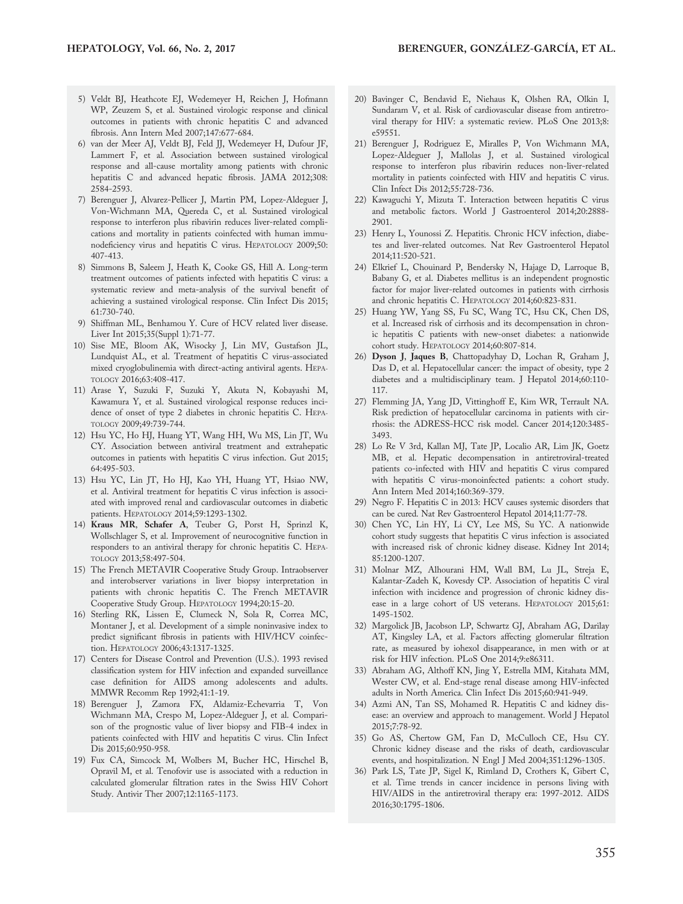- 5) Veldt BJ, Heathcote EJ, Wedemeyer H, Reichen J, Hofmann WP, Zeuzem S, et al. Sustained virologic response and clinical outcomes in patients with chronic hepatitis C and advanced fibrosis. Ann Intern Med 2007;147:677-684.
- 6) van der Meer AJ, Veldt BJ, Feld JJ, Wedemeyer H, Dufour JF, Lammert F, et al. Association between sustained virological response and all-cause mortality among patients with chronic hepatitis C and advanced hepatic fibrosis. JAMA 2012;308: 2584-2593.
- 7) Berenguer J, Alvarez-Pellicer J, Martin PM, Lopez-Aldeguer J, Von-Wichmann MA, Quereda C, et al. Sustained virological response to interferon plus ribavirin reduces liver-related complications and mortality in patients coinfected with human immunodeficiency virus and hepatitis C virus. HEPATOLOGY 2009;50: 407-413.
- 8) Simmons B, Saleem J, Heath K, Cooke GS, Hill A. Long-term treatment outcomes of patients infected with hepatitis C virus: a systematic review and meta-analysis of the survival benefit of achieving a sustained virological response. Clin Infect Dis 2015; 61:730-740.
- 9) Shiffman ML, Benhamou Y. Cure of HCV related liver disease. Liver Int 2015;35(Suppl 1):71-77.
- 10) Sise ME, Bloom AK, Wisocky J, Lin MV, Gustafson JL, Lundquist AL, et al. Treatment of hepatitis C virus-associated mixed cryoglobulinemia with direct-acting antiviral agents. HEPA-TOLOGY 2016;63:408-417.
- 11) Arase Y, Suzuki F, Suzuki Y, Akuta N, Kobayashi M, Kawamura Y, et al. Sustained virological response reduces incidence of onset of type 2 diabetes in chronic hepatitis C. HEPA-TOLOGY 2009;49:739-744.
- 12) Hsu YC, Ho HJ, Huang YT, Wang HH, Wu MS, Lin JT, Wu CY. Association between antiviral treatment and extrahepatic outcomes in patients with hepatitis C virus infection. Gut 2015; 64:495-503.
- 13) Hsu YC, Lin JT, Ho HJ, Kao YH, Huang YT, Hsiao NW, et al. Antiviral treatment for hepatitis C virus infection is associated with improved renal and cardiovascular outcomes in diabetic patients. HEPATOLOGY 2014;59:1293-1302.
- 14) Kraus MR, Schafer A, Teuber G, Porst H, Sprinzl K, Wollschlager S, et al. Improvement of neurocognitive function in responders to an antiviral therapy for chronic hepatitis C. HEPA-TOLOGY 2013;58:497-504.
- 15) The French METAVIR Cooperative Study Group. Intraobserver and interobserver variations in liver biopsy interpretation in patients with chronic hepatitis C. The French METAVIR Cooperative Study Group. HEPATOLOGY 1994;20:15-20.
- 16) Sterling RK, Lissen E, Clumeck N, Sola R, Correa MC, Montaner J, et al. Development of a simple noninvasive index to predict significant fibrosis in patients with HIV/HCV coinfection. HEPATOLOGY 2006;43:1317-1325.
- 17) Centers for Disease Control and Prevention (U.S.). 1993 revised classification system for HIV infection and expanded surveillance case definition for AIDS among adolescents and adults. MMWR Recomm Rep 1992;41:1-19.
- 18) Berenguer J, Zamora FX, Aldamiz-Echevarria T, Von Wichmann MA, Crespo M, Lopez-Aldeguer J, et al. Comparison of the prognostic value of liver biopsy and FIB-4 index in patients coinfected with HIV and hepatitis C virus. Clin Infect Dis 2015;60:950-958.
- 19) Fux CA, Simcock M, Wolbers M, Bucher HC, Hirschel B, Opravil M, et al. Tenofovir use is associated with a reduction in calculated glomerular filtration rates in the Swiss HIV Cohort Study. Antivir Ther 2007;12:1165-1173.
- 20) Bavinger C, Bendavid E, Niehaus K, Olshen RA, Olkin I, Sundaram V, et al. Risk of cardiovascular disease from antiretroviral therapy for HIV: a systematic review. PLoS One 2013;8: e59551.
- 21) Berenguer J, Rodriguez E, Miralles P, Von Wichmann MA, Lopez-Aldeguer J, Mallolas J, et al. Sustained virological response to interferon plus ribavirin reduces non-liver-related mortality in patients coinfected with HIV and hepatitis C virus. Clin Infect Dis 2012;55:728-736.
- 22) Kawaguchi Y, Mizuta T. Interaction between hepatitis C virus and metabolic factors. World J Gastroenterol 2014;20:2888- 2901.
- 23) Henry L, Younossi Z. Hepatitis. Chronic HCV infection, diabetes and liver-related outcomes. Nat Rev Gastroenterol Hepatol 2014;11:520-521.
- 24) Elkrief L, Chouinard P, Bendersky N, Hajage D, Larroque B, Babany G, et al. Diabetes mellitus is an independent prognostic factor for major liver-related outcomes in patients with cirrhosis and chronic hepatitis C. HEPATOLOGY 2014;60:823-831.
- 25) Huang YW, Yang SS, Fu SC, Wang TC, Hsu CK, Chen DS, et al. Increased risk of cirrhosis and its decompensation in chronic hepatitis C patients with new-onset diabetes: a nationwide cohort study. HEPATOLOGY 2014;60:807-814.
- 26) Dyson J, Jaques B, Chattopadyhay D, Lochan R, Graham J, Das D, et al. Hepatocellular cancer: the impact of obesity, type 2 diabetes and a multidisciplinary team. J Hepatol 2014;60:110- 117.
- 27) Flemming JA, Yang JD, Vittinghoff E, Kim WR, Terrault NA. Risk prediction of hepatocellular carcinoma in patients with cirrhosis: the ADRESS-HCC risk model. Cancer 2014;120:3485- 3493.
- 28) Lo Re V 3rd, Kallan MJ, Tate JP, Localio AR, Lim JK, Goetz MB, et al. Hepatic decompensation in antiretroviral-treated patients co-infected with HIV and hepatitis C virus compared with hepatitis C virus-monoinfected patients: a cohort study. Ann Intern Med 2014;160:369-379.
- 29) Negro F. Hepatitis C in 2013: HCV causes systemic disorders that can be cured. Nat Rev Gastroenterol Hepatol 2014;11:77-78.
- 30) Chen YC, Lin HY, Li CY, Lee MS, Su YC. A nationwide cohort study suggests that hepatitis C virus infection is associated with increased risk of chronic kidney disease. Kidney Int 2014; 85:1200-1207.
- 31) Molnar MZ, Alhourani HM, Wall BM, Lu JL, Streja E, Kalantar-Zadeh K, Kovesdy CP. Association of hepatitis C viral infection with incidence and progression of chronic kidney disease in a large cohort of US veterans. HEPATOLOGY 2015;61: 1495-1502.
- 32) Margolick JB, Jacobson LP, Schwartz GJ, Abraham AG, Darilay AT, Kingsley LA, et al. Factors affecting glomerular filtration rate, as measured by iohexol disappearance, in men with or at risk for HIV infection. PLoS One 2014;9:e86311.
- 33) Abraham AG, Althoff KN, Jing Y, Estrella MM, Kitahata MM, Wester CW, et al. End-stage renal disease among HIV-infected adults in North America. Clin Infect Dis 2015;60:941-949.
- 34) Azmi AN, Tan SS, Mohamed R. Hepatitis C and kidney disease: an overview and approach to management. World J Hepatol 2015;7:78-92.
- 35) Go AS, Chertow GM, Fan D, McCulloch CE, Hsu CY. Chronic kidney disease and the risks of death, cardiovascular events, and hospitalization. N Engl J Med 2004;351:1296-1305.
- 36) Park LS, Tate JP, Sigel K, Rimland D, Crothers K, Gibert C, et al. Time trends in cancer incidence in persons living with HIV/AIDS in the antiretroviral therapy era: 1997-2012. AIDS 2016;30:1795-1806.